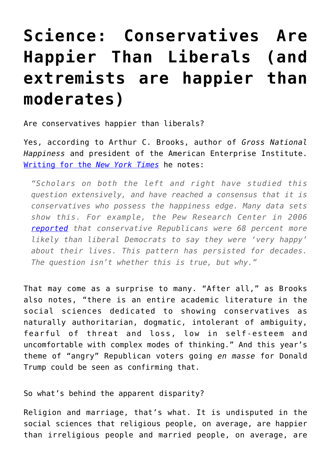## **[Science: Conservatives Are](https://intellectualtakeout.org/2016/03/science-conservatives-are-happier-than-liberals-and-extremists-are-happier-than-moderates/) [Happier Than Liberals \(and](https://intellectualtakeout.org/2016/03/science-conservatives-are-happier-than-liberals-and-extremists-are-happier-than-moderates/) [extremists are happier than](https://intellectualtakeout.org/2016/03/science-conservatives-are-happier-than-liberals-and-extremists-are-happier-than-moderates/) [moderates\)](https://intellectualtakeout.org/2016/03/science-conservatives-are-happier-than-liberals-and-extremists-are-happier-than-moderates/)**

Are conservatives happier than liberals?

Yes, according to Arthur C. Brooks, author of *Gross National Happiness* and president of the American Enterprise Institute. [Writing for the](http://mobile.nytimes.com/2012/07/08/opinion/sunday/conservatives-are-happier-and-extremists-are-happiest-of-all.html) *[New York Times](http://mobile.nytimes.com/2012/07/08/opinion/sunday/conservatives-are-happier-and-extremists-are-happiest-of-all.html)* he notes:

*"Scholars on both the left and right have studied this question extensively, and have reached a consensus that it is conservatives who possess the happiness edge. Many data sets show this. For example, the Pew Research Center in 2006 [reported](http://pewresearch.org/assets/social/pdf/AreWeHappyYet.pdf) that conservative Republicans were 68 percent more likely than liberal Democrats to say they were 'very happy' about their lives. This pattern has persisted for decades. The question isn't whether this is true, but why."*

That may come as a surprise to many. "After all," as Brooks also notes, "there is an entire academic literature in the social sciences dedicated to showing conservatives as naturally authoritarian, dogmatic, intolerant of ambiguity, fearful of threat and loss, low in self-esteem and uncomfortable with complex modes of thinking." And this year's theme of "angry" Republican voters going *en masse* for Donald Trump could be seen as confirming that.

So what's behind the apparent disparity?

Religion and marriage, that's what. It is undisputed in the social sciences that religious people, on average, are happier than irreligious people and married people, on average, are